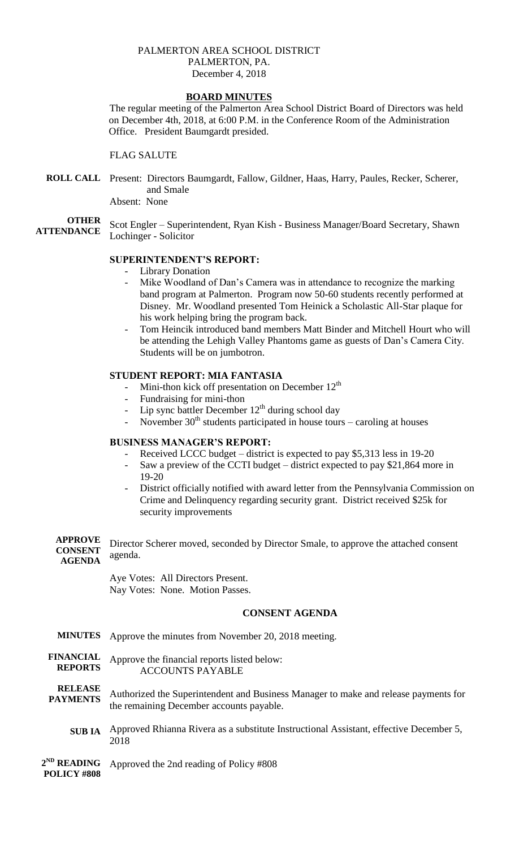#### PALMERTON AREA SCHOOL DISTRICT PALMERTON, PA. December 4, 2018

## **BOARD MINUTES**

The regular meeting of the Palmerton Area School District Board of Directors was held on December 4th, 2018, at 6:00 P.M. in the Conference Room of the Administration Office. President Baumgardt presided.

#### FLAG SALUTE

**ROLL CALL** Present: Directors Baumgardt, Fallow, Gildner, Haas, Harry, Paules, Recker, Scherer, and Smale Absent: None

**OTHER**

**ATTENDANCE** Scot Engler – Superintendent, Ryan Kish - Business Manager/Board Secretary, Shawn Lochinger - Solicitor

### **SUPERINTENDENT'S REPORT:**

- Library Donation
- Mike Woodland of Dan's Camera was in attendance to recognize the marking band program at Palmerton. Program now 50-60 students recently performed at Disney. Mr. Woodland presented Tom Heinick a Scholastic All-Star plaque for his work helping bring the program back.
- Tom Heincik introduced band members Matt Binder and Mitchell Hourt who will be attending the Lehigh Valley Phantoms game as guests of Dan's Camera City. Students will be on jumbotron.

### **STUDENT REPORT: MIA FANTASIA**

- Mini-thon kick off presentation on December  $12<sup>th</sup>$
- Fundraising for mini-thon
- Lip sync battler December  $12<sup>th</sup>$  during school day
- November  $30<sup>th</sup>$  students participated in house tours caroling at houses

## **BUSINESS MANAGER'S REPORT:**

- Received LCCC budget district is expected to pay \$5,313 less in 19-20
- Saw a preview of the CCTI budget district expected to pay \$21,864 more in 19-20
- District officially notified with award letter from the Pennsylvania Commission on Crime and Delinquency regarding security grant. District received \$25k for security improvements

|                       | <b>APPROVE</b> Director Scherer moved, seconded by Director Smale, to approve the attached consent |
|-----------------------|----------------------------------------------------------------------------------------------------|
| <b>CONSENT</b>        |                                                                                                    |
| <b>AGENDA</b> agenda. |                                                                                                    |

Aye Votes: All Directors Present. Nay Votes: None. Motion Passes.

#### **CONSENT AGENDA**

- **MINUTES** Approve the minutes from November 20, 2018 meeting.
- **FINANCIAL REPORTS** Approve the financial reports listed below: ACCOUNTS PAYABLE

**RELEASE PAYMENTS** Authorized the Superintendent and Business Manager to make and release payments for the remaining December accounts payable.

**SUB IA** Approved Rhianna Rivera as a substitute Instructional Assistant, effective December 5, 2018

**2 ND READING**  Approved the 2nd reading of Policy #808

**POLICY #808**

**APPROVE**